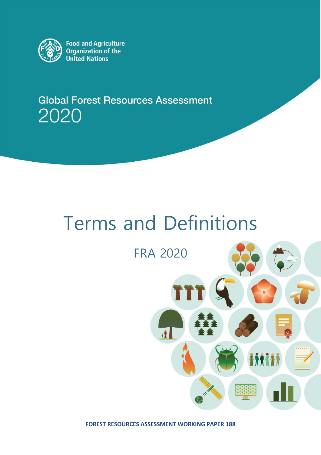

Food and Agriculture<br>Organization of the **United Nations** 

**Global Forest Resources Assessment** 2020

# Terms and Definitions

## FRA 2020



**FOREST RESOURCES ASSESSMENT WORKING PAPER 188**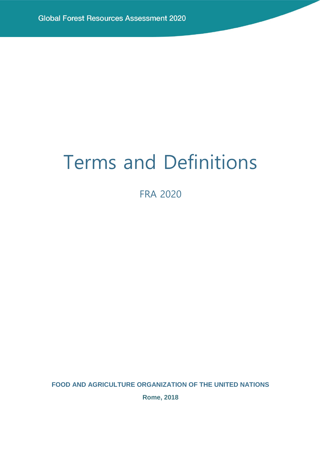## Terms and Definitions

FRA 2020

**FOOD AND AGRICULTURE ORGANIZATION OF THE UNITED NATIONS**

**Rome, 2018**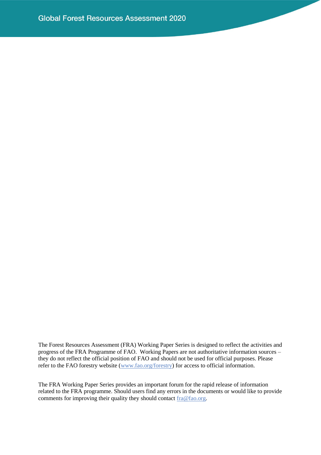The Forest Resources Assessment (FRA) Working Paper Series is designed to reflect the activities and progress of the FRA Programme of FAO. Working Papers are not authoritative information sources – they do not reflect the official position of FAO and should not be used for official purposes. Please refer to the FAO forestry website [\(www.fao.org/forestry\)](http://www.fao.org/forestry) for access to official information.

The FRA Working Paper Series provides an important forum for the rapid release of information related to the FRA programme. Should users find any errors in the documents or would like to provide comments for improving their quality they should contact  $fracfrac{fra@fao.org}{.}$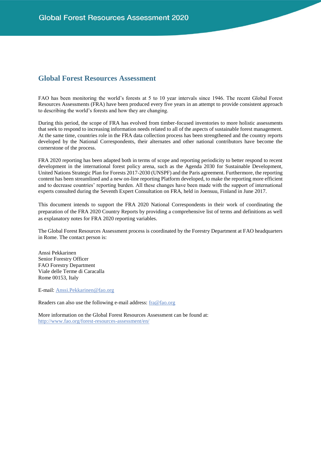## **Global Forest Resources Assessment**

FAO has been monitoring the world's forests at 5 to 10 year intervals since 1946. The recent Global Forest Resources Assessments (FRA) have been produced every five years in an attempt to provide consistent approach to describing the world's forests and how they are changing.

During this period, the scope of FRA has evolved from timber-focused inventories to more holistic assessments that seek to respond to increasing information needs related to all of the aspects of sustainable forest management. At the same time, countries role in the FRA data collection process has been strengthened and the country reports developed by the National Correspondents, their alternates and other national contributors have become the cornerstone of the process.

FRA 2020 reporting has been adapted both in terms of scope and reporting periodicity to better respond to recent development in the international forest policy arena, such as the Agenda 2030 for Sustainable Development, United Nations Strategic Plan for Forests 2017-2030 (UNSPF) and the Paris agreement. Furthermore, the reporting content has been streamlined and a new on-line reporting Platform developed, to make the reporting more efficient and to decrease countries' reporting burden. All these changes have been made with the support of international experts consulted during the Seventh Expert Consultation on FRA, held in Joensuu, Finland in June 2017.

This document intends to support the FRA 2020 National Correspondents in their work of coordinating the preparation of the FRA 2020 Country Reports by providing a comprehensive list of terms and definitions as well as explanatory notes for FRA 2020 reporting variables.

The Global Forest Resources Assessment process is coordinated by the Forestry Department at FAO headquarters in Rome. The contact person is:

Anssi Pekkarinen Senior Forestry Officer FAO Forestry Department Viale delle Terme di Caracalla Rome 00153, Italy

E-mail: [Anssi.Pekkarinen@fao.org](mailto:Anssi.Pekkarinen@fao.org)

Readers can also use the following e-mail address: [fra@fao.org](mailto:fra@fao.org)

More information on the Global Forest Resources Assessment can be found at: <http://www.fao.org/forest-resources-assessment/en/>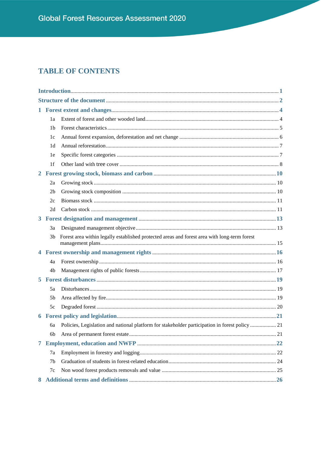## **TABLE OF CONTENTS**

| $\mathbf{1}$ |                |                                                                                                |  |
|--------------|----------------|------------------------------------------------------------------------------------------------|--|
|              | 1a             |                                                                                                |  |
|              | 1b             |                                                                                                |  |
|              | 1c             |                                                                                                |  |
|              | 1d             |                                                                                                |  |
|              | 1e             |                                                                                                |  |
|              | 1 <sub>f</sub> |                                                                                                |  |
| $\mathbf{2}$ |                |                                                                                                |  |
|              | 2a             |                                                                                                |  |
|              | 2 <sub>b</sub> |                                                                                                |  |
|              | 2c             |                                                                                                |  |
|              | 2d             |                                                                                                |  |
|              |                |                                                                                                |  |
|              | 3a             |                                                                                                |  |
|              | 3b             | Forest area within legally established protected areas and forest area with long-term forest   |  |
| 4            |                |                                                                                                |  |
|              | 4a             |                                                                                                |  |
|              | 4b             |                                                                                                |  |
| 5.           |                |                                                                                                |  |
|              | 5a             |                                                                                                |  |
|              | 5 <sub>b</sub> |                                                                                                |  |
|              | 5c             |                                                                                                |  |
|              |                |                                                                                                |  |
|              | бa             | Policies, Legislation and national platform for stakeholder participation in forest policy  21 |  |
|              | 6b             |                                                                                                |  |
| 7            |                |                                                                                                |  |
|              | 7a             |                                                                                                |  |
|              | 7b             |                                                                                                |  |
|              | 7c             |                                                                                                |  |
| 8            |                |                                                                                                |  |
|              |                |                                                                                                |  |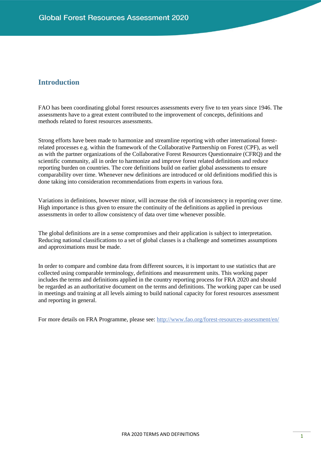## <span id="page-6-0"></span>**Introduction**

FAO has been coordinating global forest resources assessments every five to ten years since 1946. The assessments have to a great extent contributed to the improvement of concepts, definitions and methods related to forest resources assessments.

Strong efforts have been made to harmonize and streamline reporting with other international forestrelated processes e.g. within the framework of the Collaborative Partnership on Forest (CPF), as well as with the partner organizations of the Collaborative Forest Resources Questionnaire (CFRQ) and the scientific community, all in order to harmonize and improve forest related definitions and reduce reporting burden on countries. The core definitions build on earlier global assessments to ensure comparability over time. Whenever new definitions are introduced or old definitions modified this is done taking into consideration recommendations from experts in various fora.

Variations in definitions, however minor, will increase the risk of inconsistency in reporting over time. High importance is thus given to ensure the continuity of the definitions as applied in previous assessments in order to allow consistency of data over time whenever possible.

The global definitions are in a sense compromises and their application is subject to interpretation. Reducing national classifications to a set of global classes is a challenge and sometimes assumptions and approximations must be made.

In order to compare and combine data from different sources, it is important to use statistics that are collected using comparable terminology, definitions and measurement units. This working paper includes the terms and definitions applied in the country reporting process for FRA 2020 and should be regarded as an authoritative document on the terms and definitions. The working paper can be used in meetings and training at all levels aiming to build national capacity for forest resources assessment and reporting in general.

For more details on FRA Programme, please see:<http://www.fao.org/forest-resources-assessment/en/>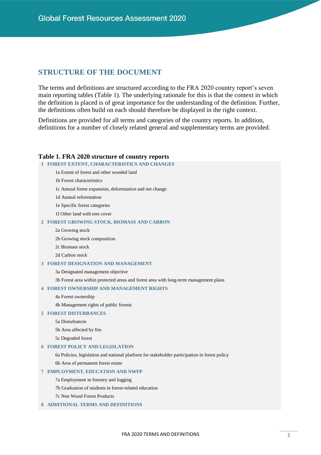## <span id="page-7-0"></span>**STRUCTURE OF THE DOCUMENT**

The terms and definitions are structured according to the FRA 2020 country report's seven main reporting tables (Table 1). The underlying rationale for this is that the context in which the definition is placed is of great importance for the understanding of the definition. Further, the definitions often build on each should therefore be displayed in the right context.

Definitions are provided for all terms and categories of the country reports. In addition, definitions for a number of closely related general and supplementary terms are provided.

#### **Table 1. FRA 2020 structure of country reports**

#### **1 FOREST EXTENT, CHARACTERISTICS AND CHANGES**

- 1a Extent of forest and other wooded land
- 1b Forest characteristics
- 1c Annual forest expansion, deforestation and net change
- 1d Annual reforestation
- 1e Specific forest categories
- 1f Other land with tree cover

#### **2 FOREST GROWING STOCK, BIOMASS AND CARBON**

- 2a Growing stock
- 2b Growing stock composition
- 2c Biomass stock
- 2d Carbon stock

#### **3 FOREST DESIGNATION AND MANAGEMENT**

3a Designated management objective

3b Forest area within protected areas and forest area with long-term management plans

#### **4 FOREST OWNERSHIP AND MANAGEMENT RIGHTS**

- 4a Forest ownership
- 4b Management rights of public forests

#### **5 FOREST DISTURBANCES**

- 5a Disturbances
- 5b Area affected by fire
- 5c Degraded forest

#### **6 FOREST POLICY AND LEGISLATION**

6a Policies, legislation and national platform for stakeholder participation in forest policy 6b Area of permanent forest estate

#### **7 EMPLOYMENT, EDUCATION AND NWFP**

- 7a Employment in forestry and logging
- 7b Graduation of students in forest-related education
- 7c Non Wood Forest Products

#### **8 ADDITIONAL TERMS AND DEFINITIONS**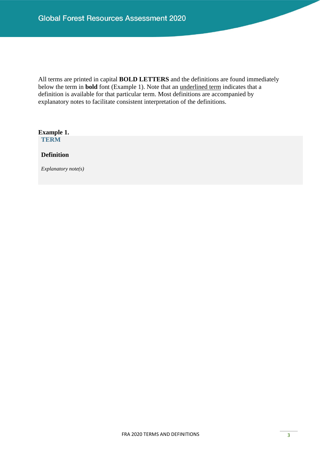All terms are printed in capital **BOLD LETTERS** and the definitions are found immediately below the term in **bold** font (Example 1). Note that an underlined term indicates that a definition is available for that particular term. Most definitions are accompanied by explanatory notes to facilitate consistent interpretation of the definitions.

**Example 1. TERM**

**Definition**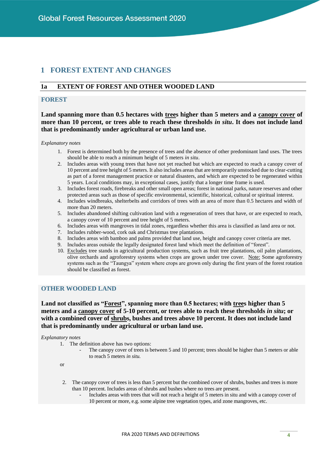## <span id="page-9-0"></span>**1 FOREST EXTENT AND CHANGES**

## <span id="page-9-1"></span>**1a EXTENT OF FOREST AND OTHER WOODED LAND**

#### **FOREST**

**Land spanning more than 0.5 hectares with trees higher than 5 meters and a canopy cover of more than 10 percent, or trees able to reach these thresholds** *in situ***. It does not include land that is predominantly under agricultural or urban land use.** 

*Explanatory notes*

- 1. Forest is determined both by the presence of trees and the absence of other predominant land uses. The trees should be able to reach a minimum height of 5 meters *in situ*.
- 2. Includes areas with young trees that have not yet reached but which are expected to reach a canopy cover of 10 percent and tree height of 5 meters. It also includes areas that are temporarily unstocked due to clear-cutting as part of a forest management practice or natural disasters, and which are expected to be regenerated within 5 years. Local conditions may, in exceptional cases, justify that a longer time frame is used.
- 3. Includes forest roads, firebreaks and other small open areas; forest in national parks, nature reserves and other protected areas such as those of specific environmental, scientific, historical, cultural or spiritual interest.
- 4. Includes windbreaks, shelterbelts and corridors of trees with an area of more than 0.5 hectares and width of more than 20 meters.
- 5. Includes abandoned shifting cultivation land with a regeneration of trees that have, or are expected to reach, a canopy cover of 10 percent and tree height of 5 meters.
- 6. Includes areas with mangroves in tidal zones, regardless whether this area is classified as land area or not.
- 7. Includes rubber-wood, cork oak and Christmas tree plantations.
- 8. Includes areas with bamboo and palms provided that land use, height and canopy cover criteria are met.
- 9. Includes areas outside the legally designated forest land which meet the definition of "forest".
- 10. Excludes tree stands in agricultural production systems, such as fruit tree plantations, oil palm plantations, olive orchards and agroforestry systems when crops are grown under tree cover. Note: Some agroforestry systems such as the "Taungya" system where crops are grown only during the first years of the forest rotation should be classified as forest.

### **OTHER WOODED LAND**

#### **Land not classified as "Forest", spanning more than 0.5 hectares; with trees higher than 5 meters and a canopy cover of 5-10 percent, or trees able to reach these thresholds** *in situ***; or with a combined cover of shrubs, bushes and trees above 10 percent. It does not include land that is predominantly under agricultural or urban land use.**

#### *Explanatory notes*

- 1. The definition above has two options:
	- The canopy cover of trees is between 5 and 10 percent; trees should be higher than 5 meters or able to reach 5 meters *in situ.*

or

- 2. The canopy cover of trees is less than 5 percent but the combined cover of shrubs, bushes and trees is more than 10 percent. Includes areas of shrubs and bushes where no trees are present.
	- Includes areas with trees that will not reach a height of 5 meters in situ and with a canopy cover of 10 percent or more, e.g. some alpine tree vegetation types, arid zone mangroves, etc.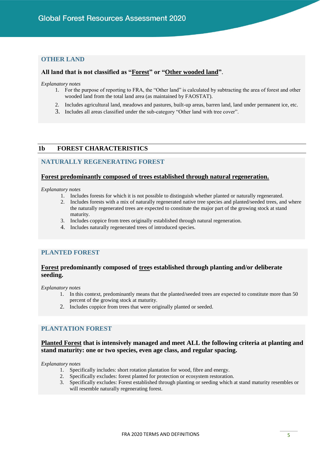#### **OTHER LAND**

#### **All land that is not classified as "Forest" or "Other wooded land"**.

*Explanatory notes*

- 1. For the purpose of reporting to FRA, the "Other land" is calculated by subtracting the area of forest and other wooded land from the total land area (as maintained by FAOSTAT).
- 2. Includes agricultural land, meadows and pastures, built-up areas, barren land, land under permanent ice, etc.
- 3. Includes all areas classified under the sub-category "Other land with tree cover".

#### <span id="page-10-0"></span>**1b FOREST CHARACTERISTICS**

#### **NATURALLY REGENERATING FOREST**

#### **Forest predominantly composed of trees established through natural regeneration.**

*Explanatory notes*

- 1. Includes forests for which it is not possible to distinguish whether planted or naturally regenerated.
- 2. Includes forests with a mix of naturally regenerated native tree species and planted/seeded trees, and where the naturally regenerated trees are expected to constitute the major part of the growing stock at stand maturity.
- 3. Includes coppice from trees originally established through natural regeneration.
- 4. Includes naturally regenerated trees of introduced species.

#### **PLANTED FOREST**

#### **Forest predominantly composed of trees established through planting and/or deliberate seeding.**

*Explanatory notes*

- 1. In this context, predominantly means that the planted/seeded trees are expected to constitute more than 50 percent of the growing stock at maturity.
- 2. Includes coppice from trees that were originally planted or seeded.

## **PLANTATION FOREST**

## **Planted Forest that is intensively managed and meet ALL the following criteria at planting and stand maturity: one or two species, even age class, and regular spacing.**

- 1. Specifically includes: short rotation plantation for wood, fibre and energy.
- 2. Specifically excludes: forest planted for protection or ecosystem restoration.
- 3. Specifically excludes: Forest established through planting or seeding which at stand maturity resembles or will resemble naturally regenerating forest.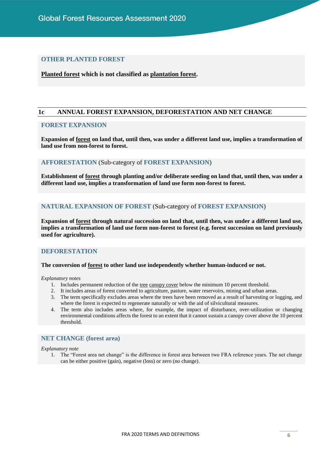#### **OTHER PLANTED FOREST**

**Planted forest which is not classified as plantation forest.**

#### <span id="page-11-0"></span>**1c ANNUAL FOREST EXPANSION, DEFORESTATION AND NET CHANGE**

## **FOREST EXPANSION**

**Expansion of forest on land that, until then, was under a different land use, implies a transformation of land use from non-forest to forest.**

#### **AFFORESTATION** (Sub-category of **FOREST EXPANSION**)

**Establishment of forest through planting and/or deliberate seeding on land that, until then, was under a different land use, implies a transformation of land use form non-forest to forest.**

#### **NATURAL EXPANSION OF FOREST** (Sub-category of **FOREST EXPANSION**)

**Expansion of forest through natural succession on land that, until then, was under a different land use, implies a transformation of land use form non-forest to forest (e.g. forest succession on land previously used for agriculture).**

#### **DEFORESTATION**

#### **The conversion of forest to other land use independently whether human-induced or not.**

#### *Explanatory notes*

- 1. Includes permanent reduction of the <u>tree canopy cover</u> below the minimum 10 percent threshold.
- 2. It includes areas of forest converted to agriculture, pasture, water reservoirs, mining and urban areas.
- 3. The term specifically excludes areas where the trees have been removed as a result of harvesting or logging, and where the forest is expected to regenerate naturally or with the aid of silvicultural measures.
- 4. The term also includes areas where, for example, the impact of disturbance, over-utilization or changing environmental conditions affects the forest to an extent that it cannot sustain a canopy cover above the 10 percent threshold.

#### **NET CHANGE (forest area)**

*Explanatory note*

1. The "Forest area net change" is the difference in forest area between two FRA reference years. The net change can be either positive (gain), negative (loss) or zero (no change).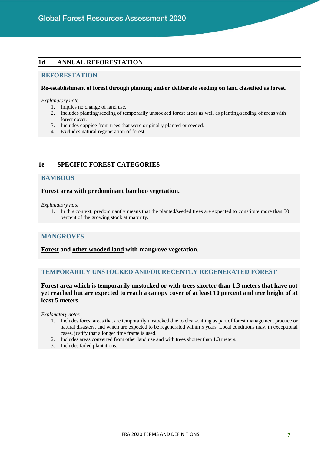#### <span id="page-12-0"></span>**1d ANNUAL REFORESTATION**

#### **REFORESTATION**

#### **Re-establishment of forest through planting and/or deliberate seeding on land classified as forest.**

#### *Explanatory note*

- 1. Implies no change of land use.
- 2. Includes planting/seeding of temporarily unstocked forest areas as well as planting/seeding of areas with forest cover.
- 3. Includes coppice from trees that were originally planted or seeded.
- 4. Excludes natural regeneration of forest.

## <span id="page-12-1"></span>**1e SPECIFIC FOREST CATEGORIES**

#### **BAMBOOS**

#### **Forest area with predominant bamboo vegetation.**

*Explanatory note*

1. In this context, predominantly means that the planted/seeded trees are expected to constitute more than 50 percent of the growing stock at maturity.

#### **MANGROVES**

**Forest and other wooded land with mangrove vegetation.**

#### **TEMPORARILY UNSTOCKED AND/OR RECENTLY REGENERATED FOREST**

**Forest area which is temporarily unstocked or with trees shorter than 1.3 meters that have not yet reached but are expected to reach a canopy cover of at least 10 percent and tree height of at least 5 meters.**

- 1. Includes forest areas that are temporarily unstocked due to clear-cutting as part of forest management practice or natural disasters, and which are expected to be regenerated within 5 years. Local conditions may, in exceptional cases, justify that a longer time frame is used.
- 2. Includes areas converted from other land use and with trees shorter than 1.3 meters.
- 3. Includes failed plantations.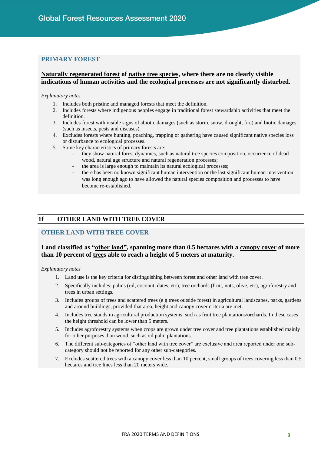#### **PRIMARY FOREST**

#### **Naturally regenerated forest of native tree species, where there are no clearly visible indications of human activities and the ecological processes are not significantly disturbed.**

*Explanatory notes*

- 1. Includes both pristine and managed forests that meet the definition.
- 2. Includes forests where indigenous peoples engage in traditional forest stewardship activities that meet the definition.
- 3. Includes forest with visible signs of abiotic damages (such as storm, snow, drought, fire) and biotic damages (such as insects, pests and diseases).
- 4. Excludes forests where hunting, poaching, trapping or gathering have caused significant native species loss or disturbance to ecological processes.
- 5. Some key characteristics of primary forests are:
	- they show natural forest dynamics, such as natural tree species composition, occurrence of dead wood, natural age structure and natural regeneration processes;
	- the area is large enough to maintain its natural ecological processes;
	- there has been no known significant human intervention or the last significant human intervention was long enough ago to have allowed the natural species composition and processes to have become re-established.

## <span id="page-13-0"></span>**1f OTHER LAND WITH TREE COVER**

#### **OTHER LAND WITH TREE COVER**

#### **Land classified as "other land", spanning more than 0.5 hectares with a canopy cover of more than 10 percent of trees able to reach a height of 5 meters at maturity.**

- 1. Land use is the key criteria for distinguishing between forest and other land with tree cover.
- 2. Specifically includes: palms (oil, coconut, dates, etc), tree orchards (fruit, nuts, olive, etc), agroforestry and trees in urban settings.
- 3. Includes groups of trees and scattered trees (e g trees outside forest) in agricultural landscapes, parks, gardens and around buildings, provided that area, height and canopy cover criteria are met.
- 4. Includes tree stands in agricultural production systems, such as fruit tree plantations/orchards. In these cases the height threshold can be lower than 5 meters.
- 5. Includes agroforestry systems when crops are grown under tree cover and tree plantations established mainly for other purposes than wood, such as oil palm plantations.
- 6. The different sub-categories of "other land with tree cover" are exclusive and area reported under one subcategory should not be reported for any other sub-categories.
- 7. Excludes scattered trees with a canopy cover less than 10 percent, small groups of trees covering less than 0.5 hectares and tree lines less than 20 meters wide.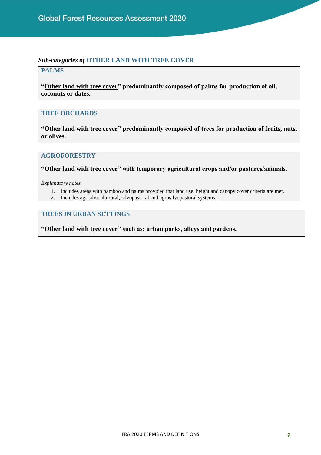## *Sub-categories of* **OTHER LAND WITH TREE COVER**

## **PALMS**

**"Other land with tree cover" predominantly composed of palms for production of oil, coconuts or dates.**

## **TREE ORCHARDS**

**"Other land with tree cover" predominantly composed of trees for production of fruits, nuts, or olives.**

## **AGROFORESTRY**

**"Other land with tree cover" with temporary agricultural crops and/or pastures/animals.**

*Explanatory notes*

- 1. Includes areas with bamboo and palms provided that land use, height and canopy cover criteria are met.
- 2. Includes agrisilviculturural, silvopastoral and agrosilvopastoral systems.

## **TREES IN URBAN SETTINGS**

**"Other land with tree cover" such as: urban parks, alleys and gardens.**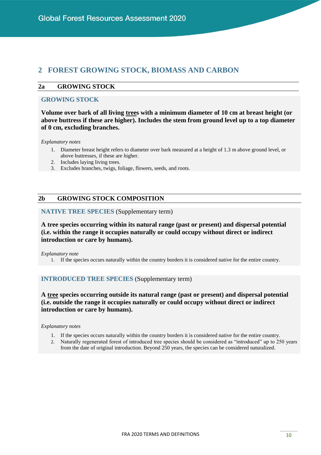## <span id="page-15-0"></span>**2 FOREST GROWING STOCK, BIOMASS AND CARBON**

#### <span id="page-15-1"></span>**2a GROWING STOCK**

#### **GROWING STOCK**

**Volume over bark of all living trees with a minimum diameter of 10 cm at breast height (or above buttress if these are higher). Includes the stem from ground level up to a top diameter of 0 cm, excluding branches.** 

*Explanatory notes* 

- 1. Diameter breast height refers to diameter over bark measured at a height of 1.3 m above ground level, or above buttresses, if these are higher.
- 2. Includes laying living trees.
- 3. Excludes branches, twigs, foliage, flowers, seeds, and roots.

#### <span id="page-15-2"></span>**2b GROWING STOCK COMPOSITION**

#### **NATIVE TREE SPECIES** (Supplementary term)

**A tree species occurring within its natural range (past or present) and dispersal potential (i.e. within the range it occupies naturally or could occupy without direct or indirect introduction or care by humans).**

*Explanatory note*

1. If the species occurs naturally within the country borders it is considered native for the entire country.

#### **INTRODUCED TREE SPECIES** (Supplementary term)

**A tree species occurring outside its natural range (past or present) and dispersal potential (i.e. outside the range it occupies naturally or could occupy without direct or indirect introduction or care by humans).**

- 1. If the species occurs naturally within the country borders it is considered native for the entire country.
- 2. Naturally regenerated forest of introduced tree species should be considered as "introduced" up to 250 years from the date of original introduction. Beyond 250 years, the species can be considered naturalized.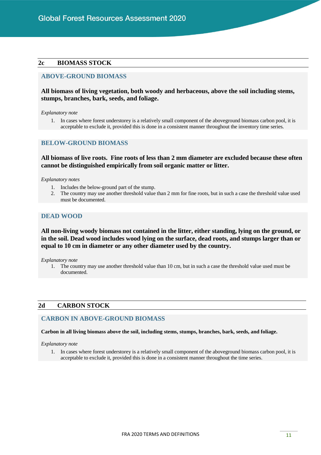#### <span id="page-16-0"></span>**2c BIOMASS STOCK**

#### **ABOVE-GROUND BIOMASS**

#### **All biomass of living vegetation, both woody and herbaceous, above the soil including stems, stumps, branches, bark, seeds, and foliage.**

*Explanatory note* 

1. In cases where forest understorey is a relatively small component of the aboveground biomass carbon pool, it is acceptable to exclude it, provided this is done in a consistent manner throughout the inventory time series.

#### **BELOW-GROUND BIOMASS**

#### **All biomass of live roots. Fine roots of less than 2 mm diameter are excluded because these often cannot be distinguished empirically from soil organic matter or litter.**

*Explanatory notes* 

- 1. Includes the below-ground part of the stump.
- 2. The country may use another threshold value than 2 mm for fine roots, but in such a case the threshold value used must be documented.

#### **DEAD WOOD**

#### **All non-living woody biomass not contained in the litter, either standing, lying on the ground, or in the soil. Dead wood includes wood lying on the surface, dead roots, and stumps larger than or equal to 10 cm in diameter or any other diameter used by the country.**

*Explanatory note* 

1. The country may use another threshold value than 10 cm, but in such a case the threshold value used must be documented.

#### <span id="page-16-1"></span>**2d CARBON STOCK**

#### **CARBON IN ABOVE-GROUND BIOMASS**

**Carbon in all living biomass above the soil, including stems, stumps, branches, bark, seeds, and foliage.** 

*Explanatory note* 

1. In cases where forest understorey is a relatively small component of the aboveground biomass carbon pool, it is acceptable to exclude it, provided this is done in a consistent manner throughout the time series.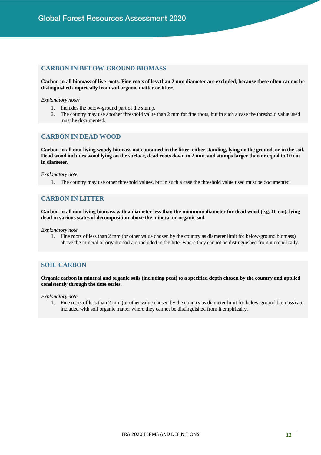#### **CARBON IN BELOW-GROUND BIOMASS**

**Carbon in all biomass of live roots. Fine roots of less than 2 mm diameter are excluded, because these often cannot be distinguished empirically from soil organic matter or litter.**

#### *Explanatory notes*

- 1. Includes the below-ground part of the stump.
- 2. The country may use another threshold value than 2 mm for fine roots, but in such a case the threshold value used must be documented.

#### **CARBON IN DEAD WOOD**

**Carbon in all non-living woody biomass not contained in the litter, either standing, lying on the ground, or in the soil. Dead wood includes wood lying on the surface, dead roots down to 2 mm, and stumps larger than or equal to 10 cm in diameter.**

#### *Explanatory note*

1. The country may use other threshold values, but in such a case the threshold value used must be documented.

## **CARBON IN LITTER**

**Carbon in all non-living biomass with a diameter less than the minimum diameter for dead wood (e.g. 10 cm), lying dead in various states of decomposition above the mineral or organic soil.**

*Explanatory note* 

1. Fine roots of less than 2 mm (or other value chosen by the country as diameter limit for below-ground biomass) above the mineral or organic soil are included in the litter where they cannot be distinguished from it empirically.

#### **SOIL CARBON**

**Organic carbon in mineral and organic soils (including peat) to a specified depth chosen by the country and applied consistently through the time series.**

*Explanatory note* 

1. Fine roots of less than 2 mm (or other value chosen by the country as diameter limit for below-ground biomass) are included with soil organic matter where they cannot be distinguished from it empirically.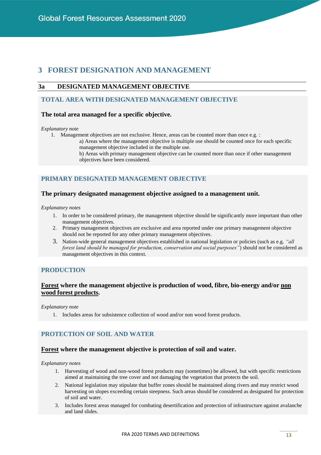## <span id="page-18-0"></span>**3 FOREST DESIGNATION AND MANAGEMENT**

## <span id="page-18-1"></span>**3a DESIGNATED MANAGEMENT OBJECTIVE**

## **TOTAL AREA WITH DESIGNATED MANAGEMENT OBJECTIVE**

#### **The total area managed for a specific objective.**

#### *Explanatory note*

1. Management objectives are not exclusive. Hence, areas can be counted more than once e.g. :

a) Areas where the management objective is multiple use should be counted once for each specific management objective included in the multiple use.

b) Areas with primary management objective can be counted more than once if other management objectives have been considered.

## **PRIMARY DESIGNATED MANAGEMENT OBJECTIVE**

#### **The primary designated management objective assigned to a management unit.**

#### *Explanatory notes*

- 1. In order to be considered primary, the management objective should be significantly more important than other management objectives.
- 2. Primary management objectives are exclusive and area reported under one primary management objective should not be reported for any other primary management objectives.
- 3. Nation-wide general management objectives established in national legislation or policies (such as e.g. *"all forest land should be managed for production, conservation and social purposes"*) should not be considered as management objectives in this context.

#### **PRODUCTION**

#### **Forest where the management objective is production of wood, fibre, bio-energy and/or non wood forest products.**

#### *Explanatory note*

1. Includes areas for subsistence collection of wood and/or non wood forest products.

## **PROTECTION OF SOIL AND WATER**

#### **Forest where the management objective is protection of soil and water.**

- 1. Harvesting of wood and non-wood forest products may (sometimes) be allowed, but with specific restrictions aimed at maintaining the tree cover and not damaging the vegetation that protects the soil.
- 2. National legislation may stipulate that buffer zones should be maintained along rivers and may restrict wood harvesting on slopes exceeding certain steepness. Such areas should be considered as designated for protection of soil and water.
- 3. Includes forest areas managed for combating desertification and protection of infrastructure against avalanche and land slides.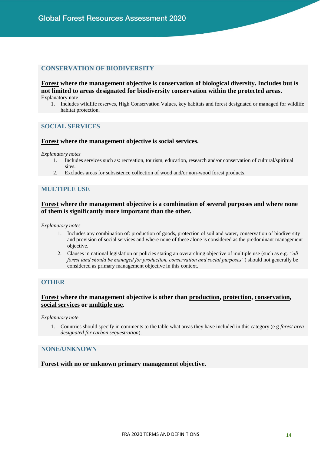## **CONSERVATION OF BIODIVERSITY**

**Forest where the management objective is conservation of biological diversity. Includes but is not limited to areas designated for biodiversity conservation within the protected areas.** Explanatory note

1. Includes wildlife reserves, High Conservation Values, key habitats and forest designated or managed for wildlife habitat protection.

#### **SOCIAL SERVICES**

#### **Forest where the management objective is social services.**

*Explanatory notes*

- 1. Includes services such as: recreation, tourism, education, research and/or conservation of cultural/spiritual sites.
- 2. Excludes areas for subsistence collection of wood and/or non-wood forest products.

#### **MULTIPLE USE**

#### **Forest where the management objective is a combination of several purposes and where none of them is significantly more important than the other.**

*Explanatory notes*

- 1. Includes any combination of: production of goods, protection of soil and water, conservation of biodiversity and provision of social services and where none of these alone is considered as the predominant management objective.
- 2. Clauses in national legislation or policies stating an overarching objective of multiple use (such as e.g. *"all forest land should be managed for production, conservation and social purposes"*) should not generally be considered as primary management objective in this context.

#### **OTHER**

#### **Forest where the management objective is other than production, protection, conservation, social services or multiple use.**

*Explanatory note*

1. Countries should specify in comments to the table what areas they have included in this category (e g *forest area designated for carbon sequestration*).

#### **NONE/UNKNOWN**

**Forest with no or unknown primary management objective.**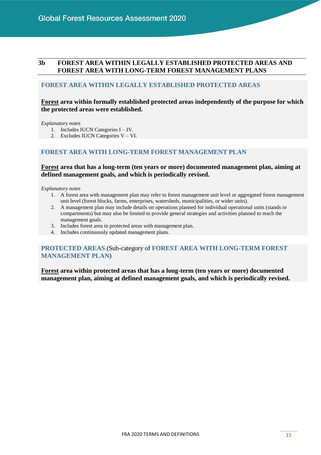## <span id="page-20-0"></span>**3b FOREST AREA WITHIN LEGALLY ESTABLISHED PROTECTED AREAS AND FOREST AREA WITH LONG-TERM FOREST MANAGEMENT PLANS**

#### **FOREST AREA WITHIN LEGALLY ESTABLISHED PROTECTED AREAS**

## **Forest area within formally established protected areas independently of the purpose for which the protected areas were established.**

*Explanatory notes*

- 1. Includes IUCN Categories I IV.
- 2. Excludes IUCN Categories V VI.

## **FOREST AREA WITH LONG-TERM FOREST MANAGEMENT PLAN**

#### **Forest area that has a long-term (ten years or more) documented management plan, aiming at defined management goals, and which is periodically revised.**

*Explanatory notes*

- 1. A forest area with management plan may refer to forest management unit level or aggregated forest management unit level (forest blocks, farms, enterprises, watersheds, municipalities, or wider units).
- 2. A management plan may include details on operations planned for individual operational units (stands or compartments) but may also be limited to provide general strategies and activities planned to reach the management goals.
- 3. Includes forest area in protected areas with management plan.
- 4. Includes continuously updated management plans.

#### **PROTECTED AREAS** (Sub-category of **FOREST AREA WITH LONG-TERM FOREST MANAGEMENT PLAN**)

**Forest area within protected areas that has a long-term (ten years or more) documented management plan, aiming at defined management goals, and which is periodically revised.**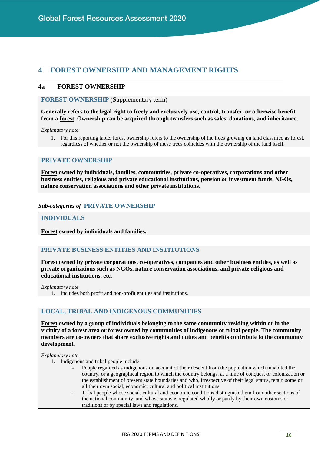## <span id="page-21-0"></span>**4 FOREST OWNERSHIP AND MANAGEMENT RIGHTS**

#### <span id="page-21-1"></span>**4a FOREST OWNERSHIP**

**FOREST OWNERSHIP** (Supplementary term)

**Generally refers to the legal right to freely and exclusively use, control, transfer, or otherwise benefit from a forest. Ownership can be acquired through transfers such as sales, donations, and inheritance.**

*Explanatory note*

1. For this reporting table, forest ownership refers to the ownership of the trees growing on land classified as forest, regardless of whether or not the ownership of these trees coincides with the ownership of the land itself.

#### **PRIVATE OWNERSHIP**

**Forest owned by individuals, families, communities, private co-operatives, corporations and other business entities, religious and private educational institutions, pension or investment funds, NGOs, nature conservation associations and other private institutions.**

#### *Sub-categories of* **PRIVATE OWNERSHIP**

#### **INDIVIDUALS**

**Forest owned by individuals and families.**

#### **PRIVATE BUSINESS ENTITIES AND INSTITUTIONS**

**Forest owned by private corporations, co-operatives, companies and other business entities, as well as private organizations such as NGOs, nature conservation associations, and private religious and educational institutions, etc.** 

*Explanatory note* 

1. Includes both profit and non-profit entities and institutions.

#### **LOCAL, TRIBAL AND INDIGENOUS COMMUNITIES**

**Forest owned by a group of individuals belonging to the same community residing within or in the vicinity of a forest area or forest owned by communities of indigenous or tribal people. The community members are co-owners that share exclusive rights and duties and benefits contribute to the community development.**

- 1. Indigenous and tribal people include:
	- People regarded as indigenous on account of their descent from the population which inhabited the country, or a geographical region to which the country belongs, at a time of conquest or colonization or the establishment of present state boundaries and who, irrespective of their legal status, retain some or all their own social, economic, cultural and political institutions.
	- Tribal people whose social, cultural and economic conditions distinguish them from other sections of the national community, and whose status is regulated wholly or partly by their own customs or traditions or by special laws and regulations.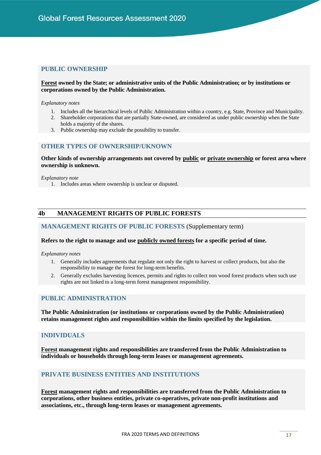### **PUBLIC OWNERSHIP**

#### **Forest owned by the State; or administrative units of the Public Administration; or by institutions or corporations owned by the Public Administration.**

#### *Explanatory notes*

- 1. Includes all the hierarchical levels of Public Administration within a country, e.g. State, Province and Municipality.
- 2. Shareholder corporations that are partially State-owned, are considered as under public ownership when the State holds a majority of the shares.
- 3. Public ownership may exclude the possibility to transfer.

#### **OTHER TYPES OF OWNERSHIP/UKNOWN**

**Other kinds of ownership arrangements not covered by public or private ownership or forest area where ownership is unknown.**

#### *Explanatory note*

1. Includes areas where ownership is unclear or disputed.

#### <span id="page-22-0"></span>**4b MANAGEMENT RIGHTS OF PUBLIC FORESTS**

#### **MANAGEMENT RIGHTS OF PUBLIC FORESTS** (Supplementary term)

#### **Refers to the right to manage and use publicly owned forests for a specific period of time.**

#### *Explanatory notes*

- 1. Generally includes agreements that regulate not only the right to harvest or collect products, but also the responsibility to manage the forest for long-term benefits.
- 2. Generally excludes harvesting licences, permits and rights to collect non wood forest products when such use rights are not linked to a long-term forest management responsibility.

#### **PUBLIC ADMINISTRATION**

**The Public Administration (or institutions or corporations owned by the Public Administration) retains management rights and responsibilities within the limits specified by the legislation.**

#### **INDIVIDUALS**

**Forest management rights and responsibilities are transferred from the Public Administration to individuals or households through long-term leases or management agreements.**

#### **PRIVATE BUSINESS ENTITIES AND INSTITUTIONS**

**Forest management rights and responsibilities are transferred from the Public Administration to corporations, other business entities, private co-operatives, private non-profit institutions and associations, etc., through long-term leases or management agreements.**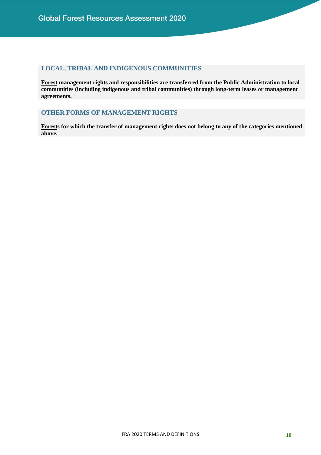## **LOCAL, TRIBAL AND INDIGENOUS COMMUNITIES**

**Forest management rights and responsibilities are transferred from the Public Administration to local communities (including indigenous and tribal communities) through long-term leases or management agreements.** 

## **OTHER FORMS OF MANAGEMENT RIGHTS**

<span id="page-23-0"></span>**Forests for which the transfer of management rights does not belong to any of the categories mentioned above.**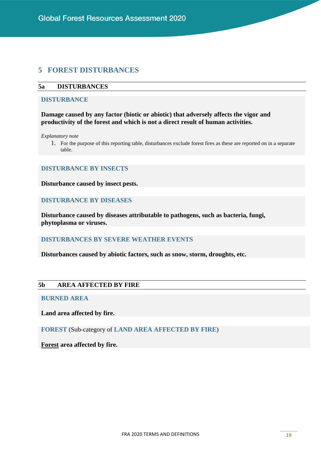## **5 FOREST DISTURBANCES**

### <span id="page-24-0"></span>**5a DISTURBANCES**

#### **DISTURBANCE**

**Damage caused by any factor (biotic or abiotic) that adversely affects the vigor and productivity of the forest and which is not a direct result of human activities.**

*Explanatory note*

1. For the purpose of this reporting table, disturbances exclude forest fires as these are reported on in a separate table.

#### **DISTURBANCE BY INSECTS**

**Disturbance caused by insect pests.**

## **DISTURBANCE BY DISEASES**

**Disturbance caused by diseases attributable to pathogens, such as bacteria, fungi, phytoplasma or viruses.**

## **DISTURBANCES BY SEVERE WEATHER EVENTS**

**Disturbances caused by abiotic factors, such as snow, storm, droughts, etc.**

#### <span id="page-24-1"></span>**5b AREA AFFECTED BY FIRE**

## **BURNED AREA**

**Land area affected by fire.**

**FOREST** (Sub-category of **LAND AREA AFFECTED BY FIRE**)

<span id="page-24-2"></span>**Forest area affected by fire.**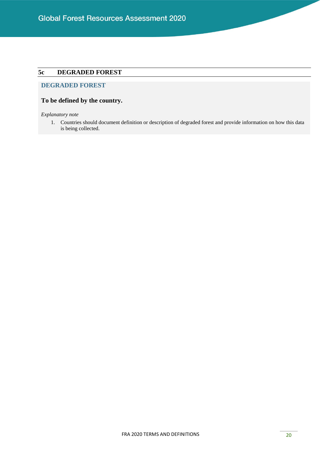## **5c DEGRADED FOREST**

## **DEGRADED FOREST**

#### **To be defined by the country.**

*Explanatory note*

<span id="page-25-0"></span>1. Countries should document definition or description of degraded forest and provide information on how this data is being collected.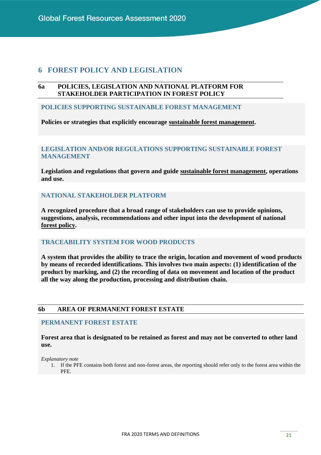## **6 FOREST POLICY AND LEGISLATION**

#### <span id="page-26-0"></span>**6a POLICIES, LEGISLATION AND NATIONAL PLATFORM FOR STAKEHOLDER PARTICIPATION IN FOREST POLICY**

#### **POLICIES SUPPORTING SUSTAINABLE FOREST MANAGEMENT**

**Policies or strategies that explicitly encourage sustainable forest management.**

## **LEGISLATION AND/OR REGULATIONS SUPPORTING SUSTAINABLE FOREST MANAGEMENT**

**Legislation and regulations that govern and guide sustainable forest management, operations and use.**

## **NATIONAL STAKEHOLDER PLATFORM**

**A recognized procedure that a broad range of stakeholders can use to provide opinions, suggestions, analysis, recommendations and other input into the development of national forest policy.**

#### **TRACEABILITY SYSTEM FOR WOOD PRODUCTS**

**A system that provides the ability to trace the origin, location and movement of wood products by means of recorded identifications. This involves two main aspects: (1) identification of the product by marking, and (2) the recording of data on movement and location of the product all the way along the production, processing and distribution chain.**

#### <span id="page-26-1"></span>**6b AREA OF PERMANENT FOREST ESTATE**

#### **PERMANENT FOREST ESTATE**

**Forest area that is designated to be retained as forest and may not be converted to other land use.**

*Explanatory note*

1. If the PFE contains both forest and non-forest areas, the reporting should refer only to the forest area within the PFE.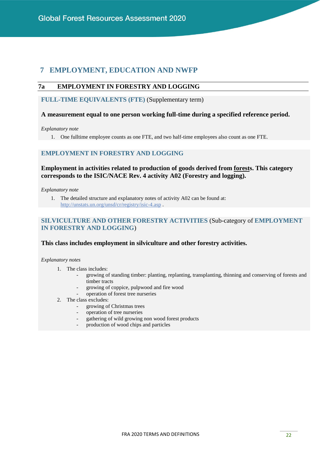## <span id="page-27-0"></span>**7 EMPLOYMENT, EDUCATION AND NWFP**

## <span id="page-27-1"></span>**7a EMPLOYMENT IN FORESTRY AND LOGGING**

**FULL-TIME EQUIVALENTS (FTE)** (Supplementary term)

#### **A measurement equal to one person working full-time during a specified reference period.**

*Explanatory note*

1. One fulltime employee counts as one FTE, and two half-time employees also count as one FTE.

## **EMPLOYMENT IN FORESTRY AND LOGGING**

#### **Employment in activities related to production of goods derived from forests. This category corresponds to the ISIC/NACE Rev. 4 activity A02 (Forestry and logging).**

*Explanatory note*

1. The detailed structure and explanatory notes of activity A02 can be found at: <http://unstats.un.org/unsd/cr/registry/isic-4.asp> .

#### **SILVICULTURE AND OTHER FORESTRY ACTIVITIES** (Sub-category of **EMPLOYMENT IN FORESTRY AND LOGGING**)

#### **This class includes employment in silviculture and other forestry activities.**

- 1. The class includes:
	- growing of standing timber: planting, replanting, transplanting, thinning and conserving of forests and timber tracts
	- growing of coppice, pulpwood and fire wood
	- operation of forest tree nurseries
- 2. The class excludes:
	- growing of Christmas trees
	- operation of tree nurseries
	- gathering of wild growing non wood forest products
	- production of wood chips and particles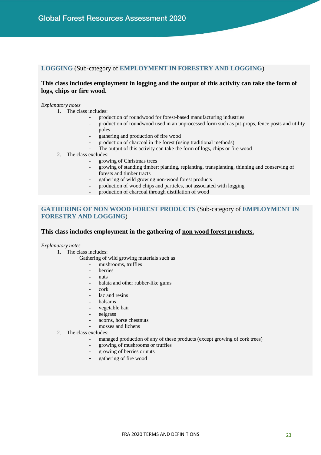#### **LOGGING** (Sub-category of **EMPLOYMENT IN FORESTRY AND LOGGING**)

#### **This class includes employment in logging and the output of this activity can take the form of logs, chips or fire wood.**

#### *Explanatory notes*

1. The class includes:

- production of roundwood for forest-based manufacturing industries
- production of roundwood used in an unprocessed form such as pit-props, fence posts and utility poles
- gathering and production of fire wood
- production of charcoal in the forest (using traditional methods)
- The output of this activity can take the form of logs, chips or fire wood
- 2. The class excludes:
	- growing of Christmas trees
	- growing of standing timber: planting, replanting, transplanting, thinning and conserving of forests and timber tracts
	- gathering of wild growing non-wood forest products
	- production of wood chips and particles, not associated with logging
	- production of charcoal through distillation of wood

## **GATHERING OF NON WOOD FOREST PRODUCTS** (Sub-category of **EMPLOYMENT IN FORESTRY AND LOGGING**)

#### **This class includes employment in the gathering of non wood forest products.**

- 1. The class includes:
	- Gathering of wild growing materials such as
		- mushrooms, truffles
		- **berries**
		- nuts
		- balata and other rubber-like gums
		- cork
		- lac and resins
		- balsams
		- vegetable hair
		- eelgrass
		- acorns, horse chestnuts
		- mosses and lichens
- 2. The class excludes:
	- managed production of any of these products (except growing of cork trees)
	- growing of mushrooms or truffles
	- growing of berries or nuts
	- gathering of fire wood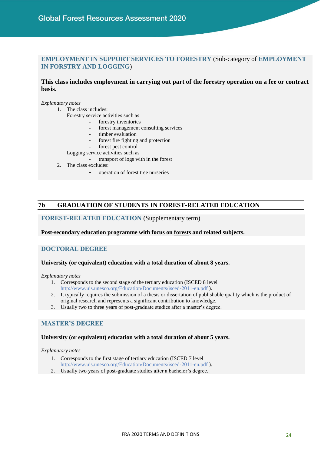## **EMPLOYMENT IN SUPPORT SERVICES TO FORESTRY** (Sub-category of **EMPLOYMENT IN FORSTRY AND LOGGING**)

#### **This class includes employment in carrying out part of the forestry operation on a fee or contract basis.**

*Explanatory notes*

- 1. The class includes:
	- Forestry service activities such as
		- forestry inventories
		- forest management consulting services
		- timber evaluation
		- forest fire fighting and protection
		- forest pest control
	- Logging service activities such as
		- transport of logs with in the forest
- 2. The class excludes:
	- operation of forest tree nurseries

#### <span id="page-29-0"></span>**7b GRADUATION OF STUDENTS IN FOREST-RELATED EDUCATION**

#### **FOREST-RELATED EDUCATION** (Supplementary term)

#### **Post-secondary education programme with focus on forests and related subjects.**

#### **DOCTORAL DEGREE**

#### **University (or equivalent) education with a total duration of about 8 years.**

*Explanatory notes*

- 1. Corresponds to the second stage of the tertiary education (ISCED 8 level <http://www.uis.unesco.org/Education/Documents/isced-2011-en.pdf> ).
- 2. It typically requires the submission of a thesis or dissertation of publishable quality which is the product of original research and represents a significant contribution to knowledge.
- 3. Usually two to three years of post-graduate studies after a master's degree.

#### **MASTER'S DEGREE**

#### **University (or equivalent) education with a total duration of about 5 years.**

- 1. Corresponds to the first stage of tertiary education (ISCED 7 level <http://www.uis.unesco.org/Education/Documents/isced-2011-en.pdf> ).
- 2. Usually two years of post-graduate studies after a bachelor's degree.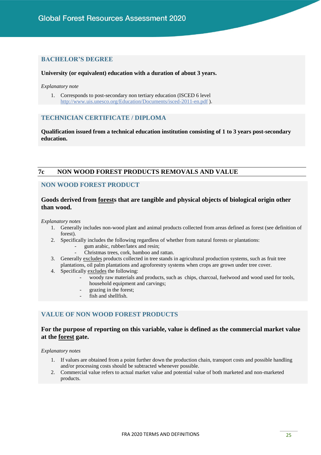#### **BACHELOR'S DEGREE**

#### **University (or equivalent) education with a duration of about 3 years.**

*Explanatory note*

1. Corresponds to post-secondary non tertiary education (ISCED 6 level <http://www.uis.unesco.org/Education/Documents/isced-2011-en.pdf> ).

## **TECHNICIAN CERTIFICATE / DIPLOMA**

**Qualification issued from a technical education institution consisting of 1 to 3 years post-secondary education.**

#### <span id="page-30-0"></span>**7c NON WOOD FOREST PRODUCTS REMOVALS AND VALUE**

#### **NON WOOD FOREST PRODUCT**

#### **Goods derived from forests that are tangible and physical objects of biological origin other than wood.**

*Explanatory notes*

- 1. Generally includes non-wood plant and animal products collected from areas defined as forest (see definition of forest).
- 2. Specifically includes the following regardless of whether from natural forests or plantations:
	- gum arabic, rubber/latex and resin;
	- Christmas trees, cork, bamboo and rattan.
- 3. Generally excludes products collected in tree stands in agricultural production systems, such as fruit tree plantations, oil palm plantations and agroforestry systems when crops are grown under tree cover.
- 4. Specifically excludes the following:
	- woody raw materials and products, such as chips, charcoal, fuelwood and wood used for tools, household equipment and carvings;
	- grazing in the forest;
	- fish and shellfish.

#### **VALUE OF NON WOOD FOREST PRODUCTS**

#### **For the purpose of reporting on this variable, value is defined as the commercial market value at the forest gate.**

- 1. If values are obtained from a point further down the production chain, transport costs and possible handling and/or processing costs should be subtracted whenever possible.
- 2. Commercial value refers to actual market value and potential value of both marketed and non-marketed products.